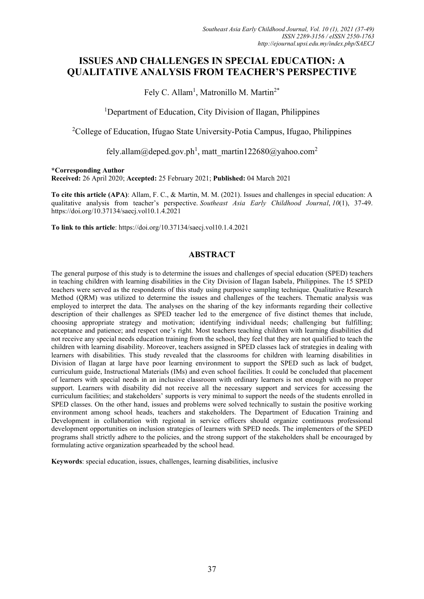# **ISSUES AND CHALLENGES IN SPECIAL EDUCATION: A QUALITATIVE ANALYSIS FROM TEACHER'S PERSPECTIVE**

Fely C. Allam<sup>1</sup>, Matronillo M. Martin<sup>2\*</sup>

<sup>1</sup>Department of Education, City Division of Ilagan, Philippines

<sup>2</sup>College of Education, Ifugao State University-Potia Campus, Ifugao, Philippines

fely.allam@deped.gov.ph<sup>1</sup>[, matt\\_martin122680@yahoo.com](mailto:,%20matt_martin122680@yahoo.com2)<sup>2</sup>

**\*Corresponding Author**

**Received:** 26 April 2020; **Accepted:** 25 February 2021; **Published:** 04 March 2021

**To cite this article (APA)**: Allam, F. C., & Martin, M. M. (2021). Issues and challenges in special education: A qualitative analysis from teacher's perspective. *Southeast Asia Early Childhood Journal*, *10*(1), 37-49. https://doi.org/10.37134/saecj.vol10.1.4.2021

**To link to this article**: https://doi.org/10.37134/saecj.vol10.1.4.2021

# **ABSTRACT**

The general purpose of this study is to determine the issues and challenges of special education (SPED) teachers in teaching children with learning disabilities in the City Division of Ilagan Isabela, Philippines. The 15 SPED teachers were served as the respondents of this study using purposive sampling technique. Qualitative Research Method (QRM) was utilized to determine the issues and challenges of the teachers. Thematic analysis was employed to interpret the data. The analyses on the sharing of the key informants regarding their collective description of their challenges as SPED teacher led to the emergence of five distinct themes that include, choosing appropriate strategy and motivation; identifying individual needs; challenging but fulfilling; acceptance and patience; and respect one's right. Most teachers teaching children with learning disabilities did not receive any special needs education training from the school, they feel that they are not qualified to teach the children with learning disability. Moreover, teachers assigned in SPED classes lack of strategies in dealing with learners with disabilities. This study revealed that the classrooms for children with learning disabilities in Division of Ilagan at large have poor learning environment to support the SPED such as lack of budget, curriculum guide, Instructional Materials (IMs) and even school facilities. It could be concluded that placement of learners with special needs in an inclusive classroom with ordinary learners is not enough with no proper support. Learners with disability did not receive all the necessary support and services for accessing the curriculum facilities; and stakeholders' supports is very minimal to support the needs of the students enrolled in SPED classes. On the other hand, issues and problems were solved technically to sustain the positive working environment among school heads, teachers and stakeholders. The Department of Education Training and Development in collaboration with regional in service officers should organize continuous professional development opportunities on inclusion strategies of learners with SPED needs. The implementers of the SPED programs shall strictly adhere to the policies, and the strong support of the stakeholders shall be encouraged by formulating active organization spearheaded by the school head.

**Keywords**: special education, issues, challenges, learning disabilities, inclusive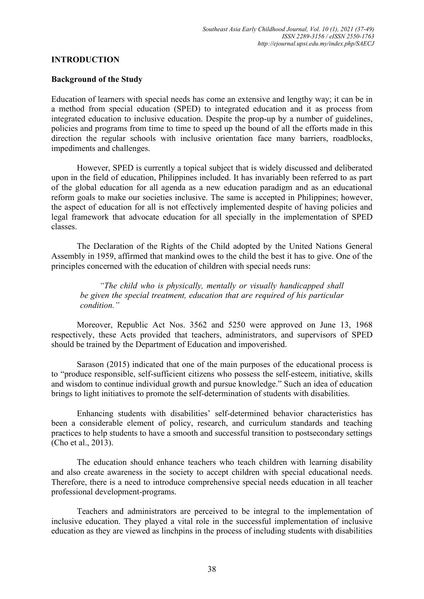### **INTRODUCTION**

### **Background of the Study**

Education of learners with special needs has come an extensive and lengthy way; it can be in a method from special education (SPED) to integrated education and it as process from integrated education to inclusive education. Despite the prop-up by a number of guidelines, policies and programs from time to time to speed up the bound of all the efforts made in this direction the regular schools with inclusive orientation face many barriers, roadblocks, impediments and challenges.

However, SPED is currently a topical subject that is widely discussed and deliberated upon in the field of education, Philippines included. It has invariably been referred to as part of the global education for all agenda as a new education paradigm and as an educational reform goals to make our societies inclusive. The same is accepted in Philippines; however, the aspect of education for all is not effectively implemented despite of having policies and legal framework that advocate education for all specially in the implementation of SPED classes.

The Declaration of the Rights of the Child adopted by the United Nations General Assembly in 1959, affirmed that mankind owes to the child the best it has to give. One of the principles concerned with the education of children with special needs runs:

*"The child who is physically, mentally or visually handicapped shall be given the special treatment, education that are required of his particular condition."*

Moreover, Republic Act Nos. 3562 and 5250 were approved on June 13, 1968 respectively, these Acts provided that teachers, administrators, and supervisors of SPED should be trained by the Department of Education and impoverished.

Sarason (2015) indicated that one of the main purposes of the educational process is to "produce responsible, self-sufficient citizens who possess the self-esteem, initiative, skills and wisdom to continue individual growth and pursue knowledge." Such an idea of education brings to light initiatives to promote the self-determination of students with disabilities.

Enhancing students with disabilities' self-determined behavior characteristics has been a considerable element of policy, research, and curriculum standards and teaching practices to help students to have a smooth and successful transition to postsecondary settings (Cho et al., 2013).

The education should enhance teachers who teach children with learning disability and also create awareness in the society to accept children with special educational needs. Therefore, there is a need to introduce comprehensive special needs education in all teacher professional development-programs.

Teachers and administrators are perceived to be integral to the implementation of inclusive education. They played a vital role in the successful implementation of inclusive education as they are viewed as linchpins in the process of including students with disabilities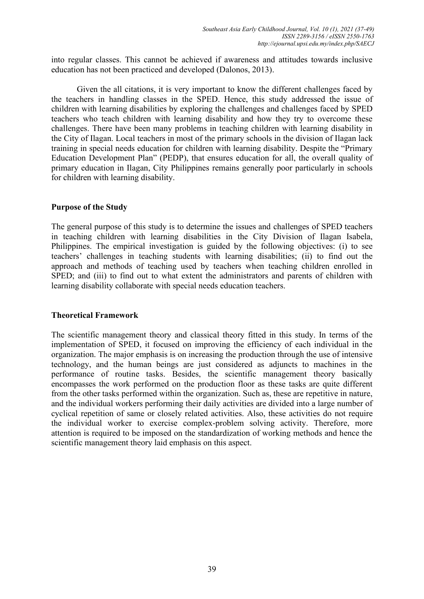into regular classes. This cannot be achieved if awareness and attitudes towards inclusive education has not been practiced and developed (Dalonos, 2013).

Given the all citations, it is very important to know the different challenges faced by the teachers in handling classes in the SPED. Hence, this study addressed the issue of children with learning disabilities by exploring the challenges and challenges faced by SPED teachers who teach children with learning disability and how they try to overcome these challenges. There have been many problems in teaching children with learning disability in the City of Ilagan. Local teachers in most of the primary schools in the division of Ilagan lack training in special needs education for children with learning disability. Despite the "Primary Education Development Plan" (PEDP), that ensures education for all, the overall quality of primary education in Ilagan, City Philippines remains generally poor particularly in schools for children with learning disability.

# **Purpose of the Study**

The general purpose of this study is to determine the issues and challenges of SPED teachers in teaching children with learning disabilities in the City Division of Ilagan Isabela, Philippines. The empirical investigation is guided by the following objectives: (i) to see teachers' challenges in teaching students with learning disabilities; (ii) to find out the approach and methods of teaching used by teachers when teaching children enrolled in SPED; and (iii) to find out to what extent the administrators and parents of children with learning disability collaborate with special needs education teachers.

### **Theoretical Framework**

The scientific management theory and classical theory fitted in this study. In terms of the implementation of SPED, it focused on improving the efficiency of each individual in the organization. The major emphasis is on increasing the production through the use of intensive technology, and the human beings are just considered as adjuncts to machines in the performance of routine tasks. Besides, the scientific management theory basically encompasses the work performed on the production floor as these tasks are quite different from the other tasks performed within the organization. Such as, these are repetitive in nature, and the individual workers performing their daily activities are divided into a large number of cyclical repetition of same or closely related activities. Also, these activities do not require the individual worker to exercise complex-problem solving activity. Therefore, more attention is required to be imposed on the standardization of working methods and hence the scientific management theory laid emphasis on this aspect.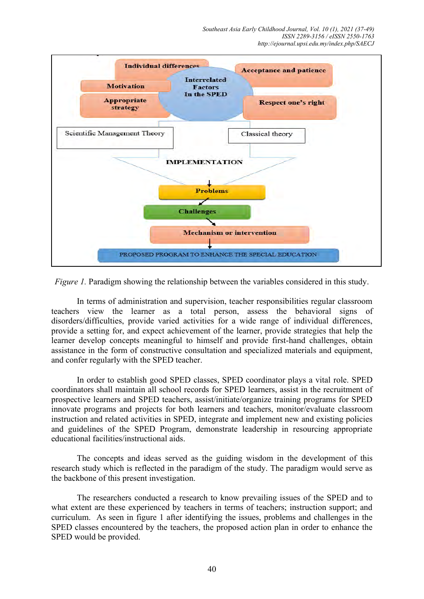*Southeast Asia Early Childhood Journal, Vol. 10 (1), 2021 (37-49) ISSN 2289-3156 / eISSN 2550-1763 http://ejournal.upsi.edu.my/index.php/SAECJ*



*Figure 1.* Paradigm showing the relationship between the variables considered in this study.

In terms of administration and supervision, teacher responsibilities regular classroom teachers view the learner as a total person, assess the behavioral signs of disorders/difficulties, provide varied activities for a wide range of individual differences, provide a setting for, and expect achievement of the learner, provide strategies that help the learner develop concepts meaningful to himself and provide first-hand challenges, obtain assistance in the form of constructive consultation and specialized materials and equipment, and confer regularly with the SPED teacher.

In order to establish good SPED classes, SPED coordinator plays a vital role. SPED coordinators shall maintain all school records for SPED learners, assist in the recruitment of prospective learners and SPED teachers, assist/initiate/organize training programs for SPED innovate programs and projects for both learners and teachers, monitor/evaluate classroom instruction and related activities in SPED, integrate and implement new and existing policies and guidelines of the SPED Program, demonstrate leadership in resourcing appropriate educational facilities/instructional aids.

The concepts and ideas served as the guiding wisdom in the development of this research study which is reflected in the paradigm of the study. The paradigm would serve as the backbone of this present investigation.

The researchers conducted a research to know prevailing issues of the SPED and to what extent are these experienced by teachers in terms of teachers; instruction support; and curriculum. As seen in figure 1 after identifying the issues, problems and challenges in the SPED classes encountered by the teachers, the proposed action plan in order to enhance the SPED would be provided.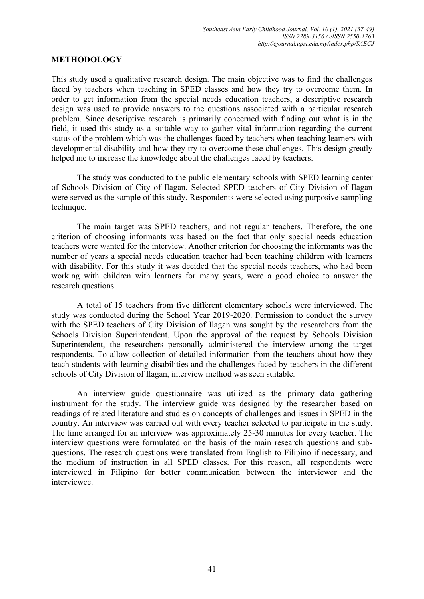### **METHODOLOGY**

This study used a qualitative research design. The main objective was to find the challenges faced by teachers when teaching in SPED classes and how they try to overcome them. In order to get information from the special needs education teachers, a descriptive research design was used to provide answers to the questions associated with a particular research problem. Since descriptive research is primarily concerned with finding out what is in the field, it used this study as a suitable way to gather vital information regarding the current status of the problem which was the challenges faced by teachers when teaching learners with developmental disability and how they try to overcome these challenges. This design greatly helped me to increase the knowledge about the challenges faced by teachers.

The study was conducted to the public elementary schools with SPED learning center of Schools Division of City of Ilagan. Selected SPED teachers of City Division of Ilagan were served as the sample of this study. Respondents were selected using purposive sampling technique.

The main target was SPED teachers, and not regular teachers. Therefore, the one criterion of choosing informants was based on the fact that only special needs education teachers were wanted for the interview. Another criterion for choosing the informants was the number of years a special needs education teacher had been teaching children with learners with disability. For this study it was decided that the special needs teachers, who had been working with children with learners for many years, were a good choice to answer the research questions.

A total of 15 teachers from five different elementary schools were interviewed. The study was conducted during the School Year 2019-2020. Permission to conduct the survey with the SPED teachers of City Division of Ilagan was sought by the researchers from the Schools Division Superintendent. Upon the approval of the request by Schools Division Superintendent, the researchers personally administered the interview among the target respondents. To allow collection of detailed information from the teachers about how they teach students with learning disabilities and the challenges faced by teachers in the different schools of City Division of Ilagan, interview method was seen suitable.

An interview guide questionnaire was utilized as the primary data gathering instrument for the study. The interview guide was designed by the researcher based on readings of related literature and studies on concepts of challenges and issues in SPED in the country. An interview was carried out with every teacher selected to participate in the study. The time arranged for an interview was approximately 25-30 minutes for every teacher. The interview questions were formulated on the basis of the main research questions and subquestions. The research questions were translated from English to Filipino if necessary, and the medium of instruction in all SPED classes. For this reason, all respondents were interviewed in Filipino for better communication between the interviewer and the interviewee.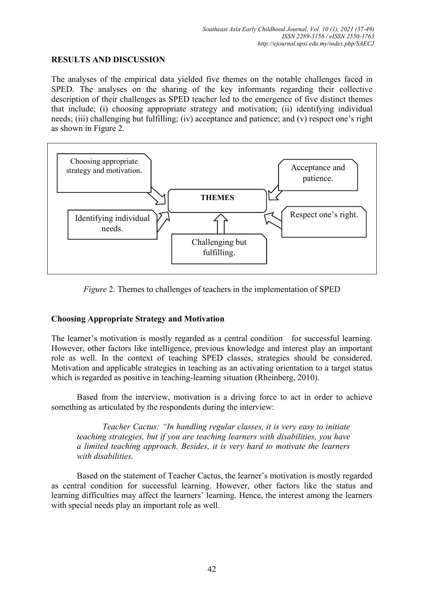# **RESULTS AND DISCUSSION**

The analyses of the empirical data yielded five themes on the notable challenges faced in SPED. The analyses on the sharing of the key informants regarding their collective description of their challenges as SPED teacher led to the emergence of five distinct themes that include; (i) choosing appropriate strategy and motivation; (ii) identifying individual needs; (iii) challenging but fulfilling; (iv) acceptance and patience; and (v) respect one's right as shown in Figure 2.





# **Choosing Appropriate Strategy and Motivation**

The learner's motivation is mostly regarded as a central condition for successful learning. However, other factors like intelligence, previous knowledge and interest play an important role as well. In the context of teaching SPED classes, strategies should be considered. Motivation and applicable strategies in teaching as an activating orientation to a target status which is regarded as positive in teaching-learning situation (Rheinberg, 2010).

Based from the interview, motivation is a driving force to act in order to achieve something as articulated by the respondents during the interview:

*Teacher Cactus: "In handling regular classes, it is very easy to initiate teaching strategies, but if you are teaching learners with disabilities, you have a limited teaching approach. Besides, it is very hard to motivate the learners with disabilities.*

Based on the statement of Teacher Cactus, the learner's motivation is mostly regarded as central condition for successful learning. However, other factors like the status and learning difficulties may affect the learners' learning. Hence, the interest among the learners with special needs play an important role as well.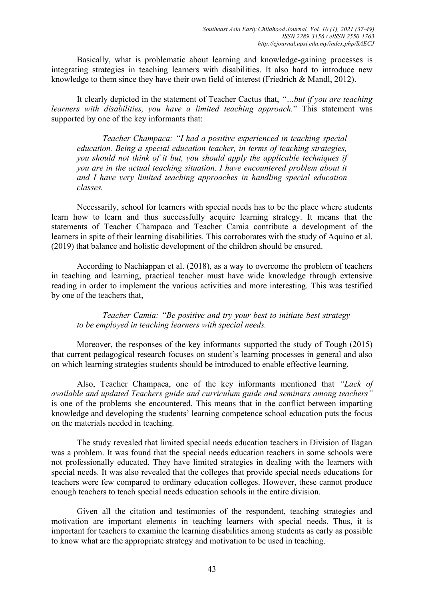Basically, what is problematic about learning and knowledge-gaining processes is integrating strategies in teaching learners with disabilities. It also hard to introduce new knowledge to them since they have their own field of interest (Friedrich & Mandl, 2012).

It clearly depicted in the statement of Teacher Cactus that, *"…but if you are teaching learners with disabilities, you have a limited teaching approach.*" This statement was supported by one of the key informants that:

*Teacher Champaca: "I had a positive experienced in teaching special education. Being a special education teacher, in terms of teaching strategies, you should not think of it but, you should apply the applicable techniques if you are in the actual teaching situation. I have encountered problem about it and I have very limited teaching approaches in handling special education classes.*

Necessarily, school for learners with special needs has to be the place where students learn how to learn and thus successfully acquire learning strategy. It means that the statements of Teacher Champaca and Teacher Camia contribute a development of the learners in spite of their learning disabilities. This corroborates with the study of Aquino et al. (2019) that balance and holistic development of the children should be ensured.

According to Nachiappan et al. (2018), as a way to overcome the problem of teachers in teaching and learning, practical teacher must have wide knowledge through extensive reading in order to implement the various activities and more interesting. This was testified by one of the teachers that,

*Teacher Camia: "Be positive and try your best to initiate best strategy to be employed in teaching learners with special needs.* 

Moreover, the responses of the key informants supported the study of Tough (2015) that current pedagogical research focuses on student's learning processes in general and also on which learning strategies students should be introduced to enable effective learning.

Also, Teacher Champaca, one of the key informants mentioned that *"Lack of available and updated Teachers guide and curriculum guide and seminars among teachers"* is one of the problems she encountered. This means that in the conflict between imparting knowledge and developing the students' learning competence school education puts the focus on the materials needed in teaching.

The study revealed that limited special needs education teachers in Division of Ilagan was a problem. It was found that the special needs education teachers in some schools were not professionally educated. They have limited strategies in dealing with the learners with special needs. It was also revealed that the colleges that provide special needs educations for teachers were few compared to ordinary education colleges. However, these cannot produce enough teachers to teach special needs education schools in the entire division.

Given all the citation and testimonies of the respondent, teaching strategies and motivation are important elements in teaching learners with special needs. Thus, it is important for teachers to examine the learning disabilities among students as early as possible to know what are the appropriate strategy and motivation to be used in teaching.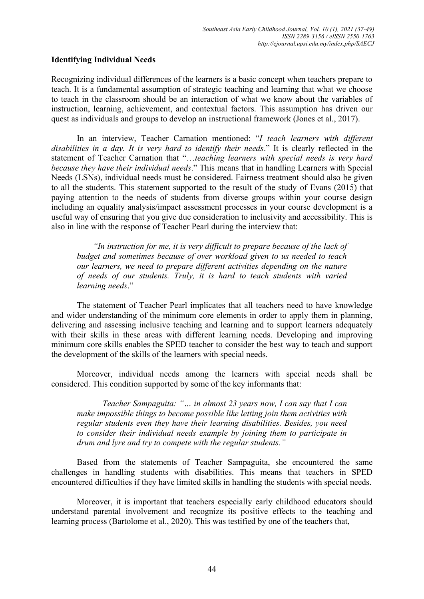# **Identifying Individual Needs**

Recognizing individual differences of the learners is a basic concept when teachers prepare to teach. It is a fundamental assumption of strategic teaching and learning that what we choose to teach in the classroom should be an interaction of what we know about the variables of instruction, learning, achievement, and contextual factors. This assumption has driven our quest as individuals and groups to develop an instructional framework (Jones et al., 2017).

 In an interview, Teacher Carnation mentioned: "*I teach learners with different disabilities in a day. It is very hard to identify their needs*." It is clearly reflected in the statement of Teacher Carnation that "…*teaching learners with special needs is very hard because they have their individual needs*." This means that in handling Learners with Special Needs (LSNs), individual needs must be considered. Fairness treatment should also be given to all the students. This statement supported to the result of the study of Evans (2015) that paying attention to the needs of students from diverse groups within your course design including an equality analysis/impact assessment processes in your course development is a useful way of ensuring that you give due consideration to inclusivity and accessibility. This is also in line with the response of Teacher Pearl during the interview that:

*"In instruction for me, it is very difficult to prepare because of the lack of budget and sometimes because of over workload given to us needed to teach our learners, we need to prepare different activities depending on the nature of needs of our students. Truly, it is hard to teach students with varied learning needs*."

The statement of Teacher Pearl implicates that all teachers need to have knowledge and wider understanding of the minimum core elements in order to apply them in planning, delivering and assessing inclusive teaching and learning and to support learners adequately with their skills in these areas with different learning needs. Developing and improving minimum core skills enables the SPED teacher to consider the best way to teach and support the development of the skills of the learners with special needs.

Moreover, individual needs among the learners with special needs shall be considered. This condition supported by some of the key informants that:

*Teacher Sampaguita: "… in almost 23 years now, I can say that I can make impossible things to become possible like letting join them activities with regular students even they have their learning disabilities. Besides, you need to consider their individual needs example by joining them to participate in drum and lyre and try to compete with the regular students."*

Based from the statements of Teacher Sampaguita, she encountered the same challenges in handling students with disabilities. This means that teachers in SPED encountered difficulties if they have limited skills in handling the students with special needs.

Moreover, it is important that teachers especially early childhood educators should understand parental involvement and recognize its positive effects to the teaching and learning process (Bartolome et al., 2020). This was testified by one of the teachers that,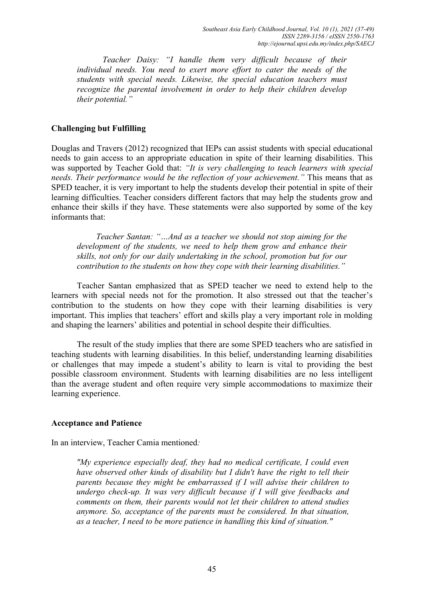*Teacher Daisy: "I handle them very difficult because of their individual needs. You need to exert more effort to cater the needs of the students with special needs. Likewise, the special education teachers must recognize the parental involvement in order to help their children develop their potential."*

### **Challenging but Fulfilling**

Douglas and Travers (2012) recognized that IEPs can assist students with special educational needs to gain access to an appropriate education in spite of their learning disabilities. This was supported by Teacher Gold that: *"It is very challenging to teach learners with special needs. Their performance would be the reflection of your achievement."* This means that as SPED teacher, it is very important to help the students develop their potential in spite of their learning difficulties. Teacher considers different factors that may help the students grow and enhance their skills if they have. These statements were also supported by some of the key informants that:

*Teacher Santan: "…And as a teacher we should not stop aiming for the development of the students, we need to help them grow and enhance their skills, not only for our daily undertaking in the school, promotion but for our contribution to the students on how they cope with their learning disabilities."*

Teacher Santan emphasized that as SPED teacher we need to extend help to the learners with special needs not for the promotion. It also stressed out that the teacher's contribution to the students on how they cope with their learning disabilities is very important. This implies that teachers' effort and skills play a very important role in molding and shaping the learners' abilities and potential in school despite their difficulties.

The result of the study implies that there are some SPED teachers who are satisfied in teaching students with learning disabilities. In this belief, understanding learning disabilities or challenges that may impede a student's ability to learn is vital to providing the best possible classroom environment. Students with learning disabilities are no less intelligent than the average student and often require very simple accommodations to maximize their learning experience.

### **Acceptance and Patience**

In an interview, Teacher Camia mentioned*:* 

*"My experience especially deaf, they had no medical certificate, I could even have observed other kinds of disability but I didn't have the right to tell their parents because they might be embarrassed if I will advise their children to undergo check-up. It was very difficult because if I will give feedbacks and comments on them, their parents would not let their children to attend studies anymore. So, acceptance of the parents must be considered. In that situation, as a teacher, I need to be more patience in handling this kind of situation."*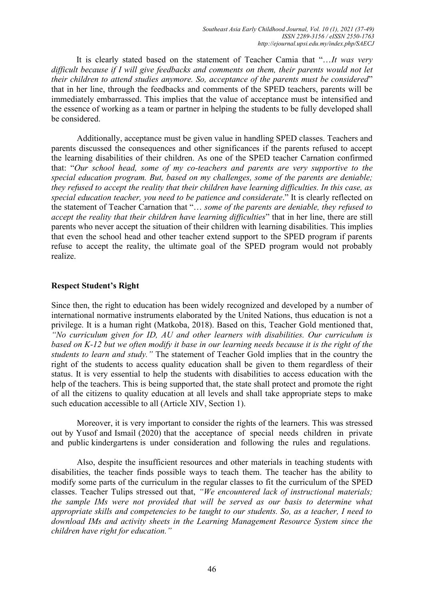It is clearly stated based on the statement of Teacher Camia that "…*It was very difficult because if I will give feedbacks and comments on them, their parents would not let their children to attend studies anymore. So, acceptance of the parents must be considered*" that in her line, through the feedbacks and comments of the SPED teachers, parents will be immediately embarrassed. This implies that the value of acceptance must be intensified and the essence of working as a team or partner in helping the students to be fully developed shall be considered.

Additionally, acceptance must be given value in handling SPED classes. Teachers and parents discussed the consequences and other significances if the parents refused to accept the learning disabilities of their children. As one of the SPED teacher Carnation confirmed that: "*Our school head, some of my co-teachers and parents are very supportive to the special education program. But, based on my challenges, some of the parents are deniable; they refused to accept the reality that their children have learning difficulties. In this case, as special education teacher, you need to be patience and considerate*." It is clearly reflected on the statement of Teacher Carnation that "… *some of the parents are deniable, they refused to accept the reality that their children have learning difficulties*" that in her line, there are still parents who never accept the situation of their children with learning disabilities. This implies that even the school head and other teacher extend support to the SPED program if parents refuse to accept the reality, the ultimate goal of the SPED program would not probably realize.

# **Respect Student's Right**

Since then, the right to education has been widely recognized and developed by a number of international normative instruments elaborated by the United Nations, thus education is not a privilege. It is a human right (Matkoba, 2018). Based on this, Teacher Gold mentioned that, *"No curriculum given for ID, AU and other learners with disabilities. Our curriculum is based on K-12 but we often modify it base in our learning needs because it is the right of the students to learn and study."* The statement of Teacher Gold implies that in the country the right of the students to access quality education shall be given to them regardless of their status. It is very essential to help the students with disabilities to access education with the help of the teachers. This is being supported that, the state shall protect and promote the right of all the citizens to quality education at all levels and shall take appropriate steps to make such education accessible to all (Article XIV, Section 1).

Moreover, it is very important to consider the rights of the learners. This was stressed out by Yusof and Ismail (2020) that the acceptance of special needs children in private and public kindergartens is under consideration and following the rules and regulations.

Also, despite the insufficient resources and other materials in teaching students with disabilities, the teacher finds possible ways to teach them. The teacher has the ability to modify some parts of the curriculum in the regular classes to fit the curriculum of the SPED classes. Teacher Tulips stressed out that, *"We encountered lack of instructional materials; the sample IMs were not provided that will be served as our basis to determine what appropriate skills and competencies to be taught to our students. So, as a teacher, I need to download IMs and activity sheets in the Learning Management Resource System since the children have right for education."*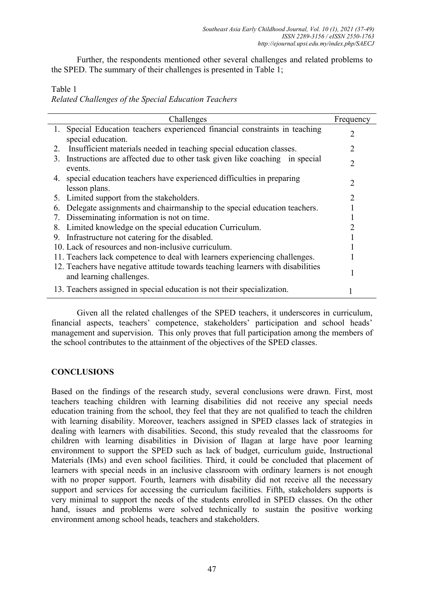Further, the respondents mentioned other several challenges and related problems to the SPED. The summary of their challenges is presented in Table 1;

# Table 1

*Related Challenges of the Special Education Teachers*

| Challenges                                                                                                  | Frequency |
|-------------------------------------------------------------------------------------------------------------|-----------|
| Special Education teachers experienced financial constraints in teaching<br>1.                              | 2         |
| special education.                                                                                          |           |
| Insufficient materials needed in teaching special education classes.<br>2.                                  |           |
| Instructions are affected due to other task given like coaching in special<br>3.<br>events.                 | 2         |
| special education teachers have experienced difficulties in preparing<br>4.<br>lesson plans.                | 2         |
| 5. Limited support from the stakeholders.                                                                   | 2         |
| Delegate assignments and chairmanship to the special education teachers.<br>6.                              |           |
| Disseminating information is not on time.<br>7.                                                             |           |
| Limited knowledge on the special education Curriculum.<br>8.                                                |           |
| Infrastructure not catering for the disabled.<br>9.                                                         |           |
| 10. Lack of resources and non-inclusive curriculum.                                                         |           |
| 11. Teachers lack competence to deal with learners experiencing challenges.                                 |           |
| 12. Teachers have negative attitude towards teaching learners with disabilities<br>and learning challenges. |           |
| 13. Teachers assigned in special education is not their specialization.                                     |           |

Given all the related challenges of the SPED teachers, it underscores in curriculum, financial aspects, teachers' competence, stakeholders' participation and school heads' management and supervision. This only proves that full participation among the members of the school contributes to the attainment of the objectives of the SPED classes.

# **CONCLUSIONS**

Based on the findings of the research study, several conclusions were drawn. First, most teachers teaching children with learning disabilities did not receive any special needs education training from the school, they feel that they are not qualified to teach the children with learning disability. Moreover, teachers assigned in SPED classes lack of strategies in dealing with learners with disabilities. Second, this study revealed that the classrooms for children with learning disabilities in Division of Ilagan at large have poor learning environment to support the SPED such as lack of budget, curriculum guide, Instructional Materials (IMs) and even school facilities. Third, it could be concluded that placement of learners with special needs in an inclusive classroom with ordinary learners is not enough with no proper support. Fourth, learners with disability did not receive all the necessary support and services for accessing the curriculum facilities. Fifth, stakeholders supports is very minimal to support the needs of the students enrolled in SPED classes. On the other hand, issues and problems were solved technically to sustain the positive working environment among school heads, teachers and stakeholders.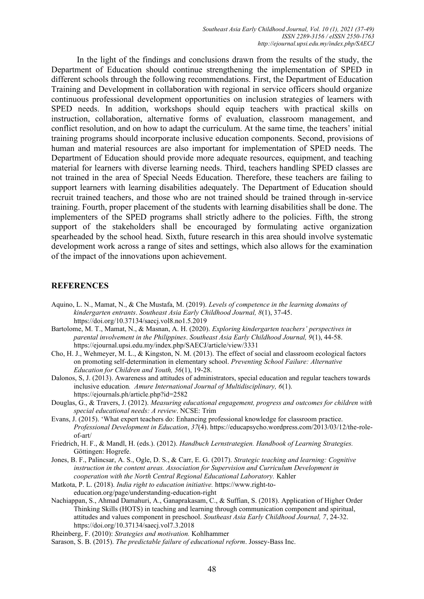In the light of the findings and conclusions drawn from the results of the study, the Department of Education should continue strengthening the implementation of SPED in different schools through the following recommendations. First, the Department of Education Training and Development in collaboration with regional in service officers should organize continuous professional development opportunities on inclusion strategies of learners with SPED needs. In addition, workshops should equip teachers with practical skills on instruction, collaboration, alternative forms of evaluation, classroom management, and conflict resolution, and on how to adapt the curriculum. At the same time, the teachers' initial training programs should incorporate inclusive education components. Second, provisions of human and material resources are also important for implementation of SPED needs. The Department of Education should provide more adequate resources, equipment, and teaching material for learners with diverse learning needs. Third, teachers handling SPED classes are not trained in the area of Special Needs Education. Therefore, these teachers are failing to support learners with learning disabilities adequately. The Department of Education should recruit trained teachers, and those who are not trained should be trained through in-service training. Fourth, proper placement of the students with learning disabilities shall be done. The implementers of the SPED programs shall strictly adhere to the policies. Fifth, the strong support of the stakeholders shall be encouraged by formulating active organization spearheaded by the school head. Sixth, future research in this area should involve systematic development work across a range of sites and settings, which also allows for the examination of the impact of the innovations upon achievement.

### **REFERENCES**

- Aquino, L. N., Mamat, N., & Che Mustafa, M. (2019). *Levels of competence in the learning domains of kindergarten entrants*. *Southeast Asia Early Childhood Journal, 8*(1), 37-45. https://doi.org/10.37134/saecj.vol8.no1.5.2019
- Bartolome, M. T., Mamat, N., & Masnan, A. H. (2020). *Exploring kindergarten teachers' perspectives in parental involvement in the Philippines*. *Southeast Asia Early Childhood Journal, 9*(1), 44-58. https://ejournal.upsi.edu.my/index.php/SAECJ/article/view/3331
- Cho, H. J., Wehmeyer, M. L., & Kingston, N. M. (2013). The effect of social and classroom ecological factors on promoting self-determination in elementary school. *Preventing School Failure: Alternative Education for Children and Youth, 56*(1), 19-28.
- Dalonos, S, J. (2013). Awareness and attitudes of administrators, special education and regular teachers towards inclusive education*. Amure International Journal of Multidisciplinary, 6*(1). <https://ejournals.ph/article.php?id=2582>
- Douglas, G., & Travers, J. (2012). *Measuring educational engagement, progress and outcomes for children with special educational needs: A review*. NCSE: Trim
- Evans, J. (2015). 'What expert teachers do: Enhancing professional knowledge for classroom practice. *Professional Development in Education*, *37*(4). [https://educapsycho.wordpress.com/2013/03/12/the-role](https://educapsycho.wordpress.com/2013/03/12/the-role-of-art/)[of-art/](https://educapsycho.wordpress.com/2013/03/12/the-role-of-art/)
- Friedrich, H. F., & Mandl, H. (eds.). (2012). *Handbuch Lernstrategien. Handbook of Learning Strategies.* Göttingen: Hogrefe.
- Jones, B. F., Palincsar, A. S., Ogle, D. S., & Carr, E. G. (2017). *Strategic teaching and learning: Cognitive instruction in the content areas. Association for Supervision and Curriculum Development in cooperation with the North Central Regional Educational Laboratory.* Kahler
- Matkota, P. L. (2018). *India right to education initiative.* [https://www.right-to](https://www.right-to-education.org/page/understanding-education-right)[education.org/page/understanding-education-right](https://www.right-to-education.org/page/understanding-education-right)
- Nachiappan, S., Ahmad Damahuri, A., Ganaprakasam, C., & Suffian, S. (2018). Application of Higher Order Thinking Skills (HOTS) in teaching and learning through communication component and spiritual, attitudes and values component in preschool. *Southeast Asia Early Childhood Journal, 7*, 24-32. https://doi.org/10.37134/saecj.vol7.3.2018
- Rheinberg, F. (2010): *Strategies and motivation.* Kohlhammer
- Sarason, S. B. (2015). *The predictable failure of educational reform*. Jossey-Bass Inc.